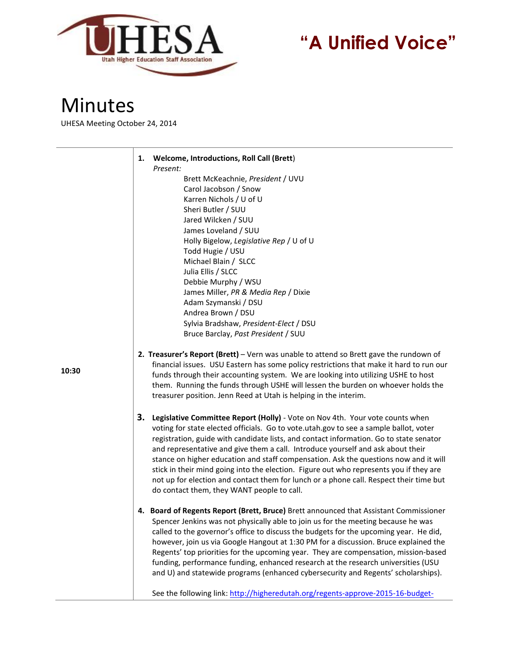

## **"A Unified Voice"**

## Minutes

 $\overline{\phantom{0}}$ 

UHESA Meeting October 24, 2014

|       | <b>Welcome, Introductions, Roll Call (Brett)</b><br>1.                                                                                                                                                                                                                                                                                                                                                                                                                                                                                                                                                                                                                              |
|-------|-------------------------------------------------------------------------------------------------------------------------------------------------------------------------------------------------------------------------------------------------------------------------------------------------------------------------------------------------------------------------------------------------------------------------------------------------------------------------------------------------------------------------------------------------------------------------------------------------------------------------------------------------------------------------------------|
|       | Present:<br>Brett McKeachnie, President / UVU<br>Carol Jacobson / Snow<br>Karren Nichols / U of U<br>Sheri Butler / SUU<br>Jared Wilcken / SUU<br>James Loveland / SUU<br>Holly Bigelow, Legislative Rep / U of U<br>Todd Hugie / USU<br>Michael Blain / SLCC<br>Julia Ellis / SLCC<br>Debbie Murphy / WSU<br>James Miller, PR & Media Rep / Dixie<br>Adam Szymanski / DSU<br>Andrea Brown / DSU                                                                                                                                                                                                                                                                                    |
|       | Sylvia Bradshaw, President-Elect / DSU<br>Bruce Barclay, Past President / SUU                                                                                                                                                                                                                                                                                                                                                                                                                                                                                                                                                                                                       |
| 10:30 | 2. Treasurer's Report (Brett) - Vern was unable to attend so Brett gave the rundown of<br>financial issues. USU Eastern has some policy restrictions that make it hard to run our<br>funds through their accounting system. We are looking into utilizing USHE to host<br>them. Running the funds through USHE will lessen the burden on whoever holds the<br>treasurer position. Jenn Reed at Utah is helping in the interim.                                                                                                                                                                                                                                                      |
|       | 3.<br>Legislative Committee Report (Holly) - Vote on Nov 4th. Your vote counts when<br>voting for state elected officials. Go to vote.utah.gov to see a sample ballot, voter<br>registration, guide with candidate lists, and contact information. Go to state senator<br>and representative and give them a call. Introduce yourself and ask about their<br>stance on higher education and staff compensation. Ask the questions now and it will<br>stick in their mind going into the election. Figure out who represents you if they are<br>not up for election and contact them for lunch or a phone call. Respect their time but<br>do contact them, they WANT people to call. |
|       | 4. Board of Regents Report (Brett, Bruce) Brett announced that Assistant Commissioner<br>Spencer Jenkins was not physically able to join us for the meeting because he was<br>called to the governor's office to discuss the budgets for the upcoming year. He did,<br>however, join us via Google Hangout at 1:30 PM for a discussion. Bruce explained the<br>Regents' top priorities for the upcoming year. They are compensation, mission-based<br>funding, performance funding, enhanced research at the research universities (USU<br>and U) and statewide programs (enhanced cybersecurity and Regents' scholarships).                                                        |
|       | See the following link: http://higheredutah.org/regents-approve-2015-16-budget-                                                                                                                                                                                                                                                                                                                                                                                                                                                                                                                                                                                                     |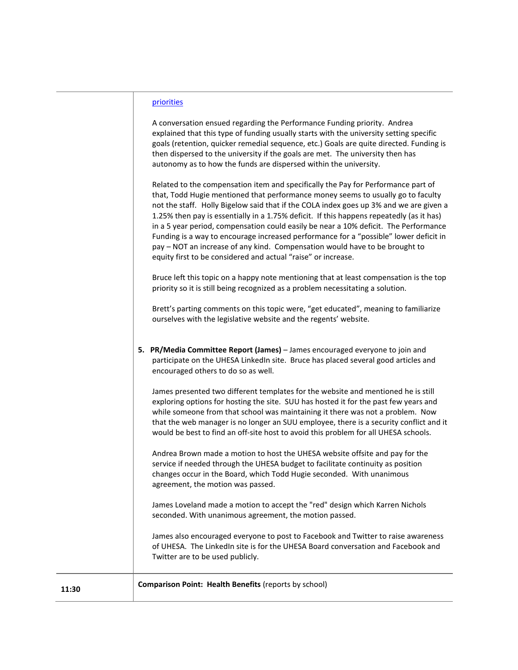| prioritie |  |
|-----------|--|
|           |  |

A conversation ensued regarding the Performance Funding priority. Andrea explained that this type of funding usually starts with the university setting specific goals (retention, quicker remedial sequence, etc.) Goals are quite directed. Funding is then dispersed to the university if the goals are met. The university then has autonomy as to how the funds are dispersed within the university.

Related to the compensation item and specifically the Pay for Performance part of that, Todd Hugie mentioned that performance money seems to usually go to faculty not the staff. Holly Bigelow said that if the COLA index goes up 3% and we are given a 1.25% then pay is essentially in a 1.75% deficit. If this happens repeatedly (as it has) in a 5 year period, compensation could easily be near a 10% deficit. The Performance Funding is a way to encourage increased performance for a "possible" lower deficit in pay – NOT an increase of any kind. Compensation would have to be brought to equity first to be considered and actual "raise" or increase.

Bruce left this topic on a happy note mentioning that at least compensation is the top priority so it is still being recognized as a problem necessitating a solution.

Brett's parting comments on this topic were, "get educated", meaning to familiarize ourselves with the legislative website and the regents' website.

**5. PR/Media Committee Report (James)** – James encouraged everyone to join and participate on the UHESA LinkedIn site. Bruce has placed several good articles and encouraged others to do so as well.

James presented two different templates for the website and mentioned he is still exploring options for hosting the site. SUU has hosted it for the past few years and while someone from that school was maintaining it there was not a problem. Now that the web manager is no longer an SUU employee, there is a security conflict and it would be best to find an off-site host to avoid this problem for all UHESA schools.

Andrea Brown made a motion to host the UHESA website offsite and pay for the service if needed through the UHESA budget to facilitate continuity as position changes occur in the Board, which Todd Hugie seconded. With unanimous agreement, the motion was passed.

James Loveland made a motion to accept the "red" design which Karren Nichols seconded. With unanimous agreement, the motion passed.

James also encouraged everyone to post to Facebook and Twitter to raise awareness of UHESA. The LinkedIn site is for the UHESA Board conversation and Facebook and Twitter are to be used publicly.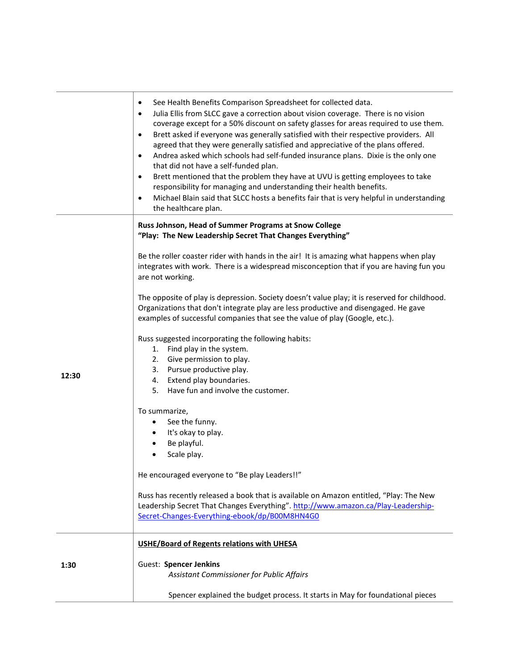|       | See Health Benefits Comparison Spreadsheet for collected data.<br>$\bullet$<br>Julia Ellis from SLCC gave a correction about vision coverage. There is no vision<br>$\bullet$<br>coverage except for a 50% discount on safety glasses for areas required to use them.<br>Brett asked if everyone was generally satisfied with their respective providers. All<br>$\bullet$<br>agreed that they were generally satisfied and appreciative of the plans offered.<br>Andrea asked which schools had self-funded insurance plans. Dixie is the only one<br>$\bullet$<br>that did not have a self-funded plan.<br>Brett mentioned that the problem they have at UVU is getting employees to take<br>$\bullet$<br>responsibility for managing and understanding their health benefits.<br>Michael Blain said that SLCC hosts a benefits fair that is very helpful in understanding<br>$\bullet$<br>the healthcare plan. |
|-------|-------------------------------------------------------------------------------------------------------------------------------------------------------------------------------------------------------------------------------------------------------------------------------------------------------------------------------------------------------------------------------------------------------------------------------------------------------------------------------------------------------------------------------------------------------------------------------------------------------------------------------------------------------------------------------------------------------------------------------------------------------------------------------------------------------------------------------------------------------------------------------------------------------------------|
|       | Russ Johnson, Head of Summer Programs at Snow College<br>"Play: The New Leadership Secret That Changes Everything"                                                                                                                                                                                                                                                                                                                                                                                                                                                                                                                                                                                                                                                                                                                                                                                                |
|       | Be the roller coaster rider with hands in the air! It is amazing what happens when play<br>integrates with work. There is a widespread misconception that if you are having fun you<br>are not working.                                                                                                                                                                                                                                                                                                                                                                                                                                                                                                                                                                                                                                                                                                           |
|       | The opposite of play is depression. Society doesn't value play; it is reserved for childhood.<br>Organizations that don't integrate play are less productive and disengaged. He gave<br>examples of successful companies that see the value of play (Google, etc.).                                                                                                                                                                                                                                                                                                                                                                                                                                                                                                                                                                                                                                               |
|       | Russ suggested incorporating the following habits:                                                                                                                                                                                                                                                                                                                                                                                                                                                                                                                                                                                                                                                                                                                                                                                                                                                                |
|       | Find play in the system.<br>1.<br>2. Give permission to play.                                                                                                                                                                                                                                                                                                                                                                                                                                                                                                                                                                                                                                                                                                                                                                                                                                                     |
|       | 3. Pursue productive play.                                                                                                                                                                                                                                                                                                                                                                                                                                                                                                                                                                                                                                                                                                                                                                                                                                                                                        |
| 12:30 | Extend play boundaries.<br>4.                                                                                                                                                                                                                                                                                                                                                                                                                                                                                                                                                                                                                                                                                                                                                                                                                                                                                     |
|       | Have fun and involve the customer.<br>5.                                                                                                                                                                                                                                                                                                                                                                                                                                                                                                                                                                                                                                                                                                                                                                                                                                                                          |
|       | To summarize,                                                                                                                                                                                                                                                                                                                                                                                                                                                                                                                                                                                                                                                                                                                                                                                                                                                                                                     |
|       | See the funny.<br>$\bullet$                                                                                                                                                                                                                                                                                                                                                                                                                                                                                                                                                                                                                                                                                                                                                                                                                                                                                       |
|       | It's okay to play.                                                                                                                                                                                                                                                                                                                                                                                                                                                                                                                                                                                                                                                                                                                                                                                                                                                                                                |
|       | Be playful.<br>$\bullet$                                                                                                                                                                                                                                                                                                                                                                                                                                                                                                                                                                                                                                                                                                                                                                                                                                                                                          |
|       | Scale play.                                                                                                                                                                                                                                                                                                                                                                                                                                                                                                                                                                                                                                                                                                                                                                                                                                                                                                       |
|       | He encouraged everyone to "Be play Leaders!!"                                                                                                                                                                                                                                                                                                                                                                                                                                                                                                                                                                                                                                                                                                                                                                                                                                                                     |
|       | Russ has recently released a book that is available on Amazon entitled, "Play: The New                                                                                                                                                                                                                                                                                                                                                                                                                                                                                                                                                                                                                                                                                                                                                                                                                            |
|       | Leadership Secret That Changes Everything". http://www.amazon.ca/Play-Leadership-                                                                                                                                                                                                                                                                                                                                                                                                                                                                                                                                                                                                                                                                                                                                                                                                                                 |
|       | Secret-Changes-Everything-ebook/dp/B00M8HN4G0                                                                                                                                                                                                                                                                                                                                                                                                                                                                                                                                                                                                                                                                                                                                                                                                                                                                     |
|       | <b>USHE/Board of Regents relations with UHESA</b>                                                                                                                                                                                                                                                                                                                                                                                                                                                                                                                                                                                                                                                                                                                                                                                                                                                                 |
| 1:30  | <b>Guest: Spencer Jenkins</b>                                                                                                                                                                                                                                                                                                                                                                                                                                                                                                                                                                                                                                                                                                                                                                                                                                                                                     |
|       | Assistant Commissioner for Public Affairs                                                                                                                                                                                                                                                                                                                                                                                                                                                                                                                                                                                                                                                                                                                                                                                                                                                                         |
|       | Spencer explained the budget process. It starts in May for foundational pieces                                                                                                                                                                                                                                                                                                                                                                                                                                                                                                                                                                                                                                                                                                                                                                                                                                    |